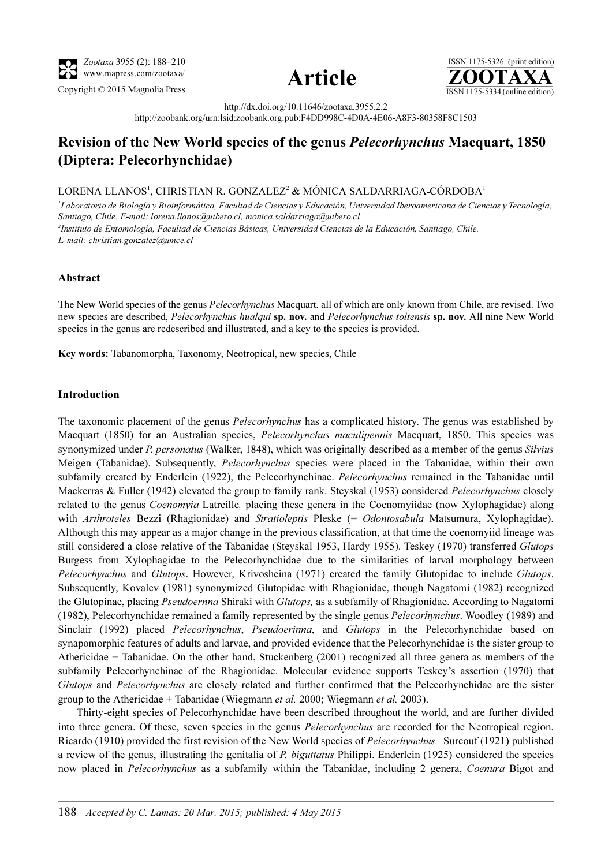

Copyright  $\odot$  2015 Magnolia Press  $\overline{\text{ISSN 1175-5334 (online edition)}}$ 



ISSN 1175-5326 (print edition)<br> $\overline{{\bf ZOOTAXA}}$ 

http://dx.doi.org/10.11646/zootaxa.3955.2.2

http://zoobank.org/urn:lsid:zoobank.org:pub:F4DD998C-4D0A-4E06-A8F3-80358F8C1503

## Revision of the New World species of the genus Pelecorhynchus Macquart, 1850 (Diptera: Pelecorhynchidae)

LORENA LLANOS', CHRISTIAN R. GONZALEZ<del>'</del> & MÓNICA SALDARRIAGA-CÓRDOBA'

<sup>1</sup>Laboratorio de Biología y Bioinformática, Facultad de Ciencias y Educación, Universidad Iberoamericana de Ciencias y Tecnología, [Santiago, Chile. E-mail: lorena.llanos@uibero.cl, monica.saldarriaga@uibero.cl](mailto:monica.saldarriaga@uibero.cl) 2 Instituto de Entomología, Facultad de Ciencias Básicas, Universidad Ciencias de la Educación, Santiago, Chile. E-mail: christian.gonzalez@umce.cl

## Abstract

The New World species of the genus *Pelecorhynchus* Macquart, all of which are only known from Chile, are revised. Two new species are described, Pelecorhynchus hualqui sp. nov. and Pelecorhynchus toltensis sp. nov. All nine New World species in the genus are redescribed and illustrated, and a key to the species is provided.

Key words: Tabanomorpha, Taxonomy, Neotropical, new species, Chile

## Introduction

The taxonomic placement of the genus *Pelecorhynchus* has a complicated history. The genus was established by Macquart (1850) for an Australian species, *Pelecorhynchus maculipennis* Macquart, 1850. This species was synonymized under P. personatus (Walker, 1848), which was originally described as a member of the genus Silvius Meigen (Tabanidae). Subsequently, *Pelecorhynchus* species were placed in the Tabanidae, within their own subfamily created by Enderlein (1922), the Pelecorhynchinae. Pelecorhynchus remained in the Tabanidae until Mackerras & Fuller (1942) elevated the group to family rank. Steyskal (1953) considered *Pelecorhynchus* closely related to the genus Coenomyia Latreille, placing these genera in the Coenomyiidae (now Xylophagidae) along with Arthroteles Bezzi (Rhagionidae) and Stratioleptis Pleske (= Odontosabula Matsumura, Xylophagidae). Although this may appear as a major change in the previous classification, at that time the coenomyiid lineage was still considered a close relative of the Tabanidae (Steyskal 1953, Hardy 1955). Teskey (1970) transferred Glutops Burgess from Xylophagidae to the Pelecorhynchidae due to the similarities of larval morphology between Pelecorhynchus and Glutops. However, Krivosheina (1971) created the family Glutopidae to include Glutops. Subsequently, Kovalev (1981) synonymized Glutopidae with Rhagionidae, though Nagatomi (1982) recognized the Glutopinae, placing Pseudoernna Shiraki with Glutops, as a subfamily of Rhagionidae. According to Nagatomi (1982), Pelecorhynchidae remained a family represented by the single genus Pelecorhynchus. Woodley (1989) and Sinclair (1992) placed Pelecorhynchus, Pseudoerinna, and Glutops in the Pelecorhynchidae based on synapomorphic features of adults and larvae, and provided evidence that the Pelecorhynchidae is the sister group to Athericidae + Tabanidae. On the other hand, Stuckenberg (2001) recognized all three genera as members of the subfamily Pelecorhynchinae of the Rhagionidae. Molecular evidence supports Teskey's assertion (1970) that Glutops and Pelecorhynchus are closely related and further confirmed that the Pelecorhynchidae are the sister group to the Athericidae + Tabanidae (Wiegmann *et al.* 2000; Wiegmann *et al.* 2003).

Thirty-eight species of Pelecorhynchidae have been described throughout the world, and are further divided into three genera. Of these, seven species in the genus *Pelecorhynchus* are recorded for the Neotropical region. Ricardo (1910) provided the first revision of the New World species of Pelecorhynchus. Surcouf (1921) published a review of the genus, illustrating the genitalia of P. biguttatus Philippi. Enderlein (1925) considered the species now placed in Pelecorhynchus as a subfamily within the Tabanidae, including 2 genera, Coenura Bigot and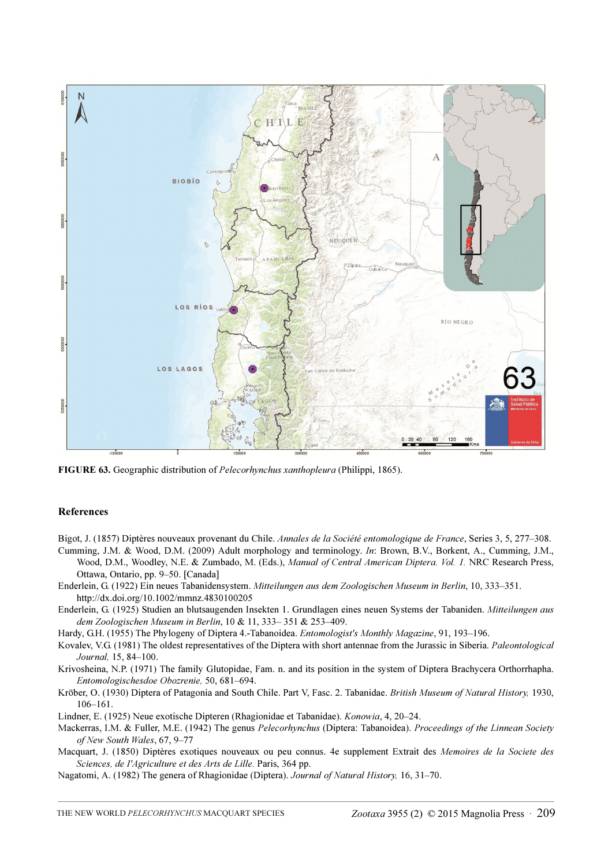

FIGURE 63. Geographic distribution of Pelecorhynchus xanthopleura (Philippi, 1865).

## References

Bigot, J. (1857) Diptères nouveaux provenant du Chile. Annales de la Société entomologique de France, Series 3, 5, 277–308.

Cumming, J.M. & Wood, D.M. (2009) Adult morphology and terminology. In: Brown, B.V., Borkent, A., Cumming, J.M., Wood, D.M., Woodley, N.E. & Zumbado, M. (Eds.), Manual of Central American Diptera. Vol. 1. NRC Research Press, Ottawa, Ontario, pp. 9–50. [Canada]

- Enderlein, G. (1922) Ein neues Tabanidensystem. Mitteilungen aus dem Zoologischen Museum in Berlin, 10, 333–351. http://dx.doi.org/10.1002/mmnz.4830100205
- Enderlein, G. (1925) Studien an blutsaugenden Insekten 1. Grundlagen eines neuen Systems der Tabaniden. Mitteilungen aus dem Zoologischen Museum in Berlin, 10 & 11, 333– 351 & 253–409.

Hardy, G.H. (1955) The Phylogeny of Diptera 4.-Tabanoidea. Entomologist's Monthly Magazine, 91, 193–196.

Kovalev, V.G. (1981) The oldest representatives of the Diptera with short antennae from the Jurassic in Siberia. Paleontological Journal, 15, 84–100.

Krivosheina, N.P. (1971) The family Glutopidae, Fam. n. and its position in the system of Diptera Brachycera Orthorrhapha. Entomologischesdoe Obozrenie, 50, 681–694.

Kröber, O. (1930) Diptera of Patagonia and South Chile. Part V, Fasc. 2. Tabanidae. British Museum of Natural History, 1930, 106–161.

Lindner, E. (1925) Neue exotische Dipteren (Rhagionidae et Tabanidae). Konowia, 4, 20–24.

Mackerras, I.M. & Fuller, M.E. (1942) The genus Pelecorhynchus (Diptera: Tabanoidea). Proceedings of the Linnean Society of New South Wales, 67, 9–77

Macquart, J. (1850) Diptères exotiques nouveaux ou peu connus. 4e supplement Extrait des Memoires de la Societe des Sciences, de I'Agriculture et des Arts de Lille. Paris, 364 pp.

Nagatomi, A. (1982) The genera of Rhagionidae (Diptera). Journal of Natural History, 16, 31–70.